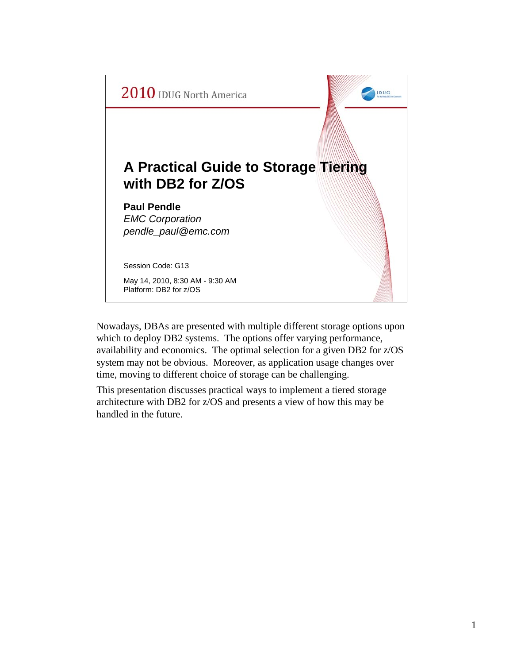

Nowadays, DBAs are presented with multiple different storage options upon which to deploy DB2 systems. The options offer varying performance, availability and economics. The optimal selection for a given DB2 for z/OS system may not be obvious. Moreover, as application usage changes over time, moving to different choice of storage can be challenging.

This presentation discusses practical ways to implement a tiered storage architecture with DB2 for z/OS and presents a view of how this may be handled in the future.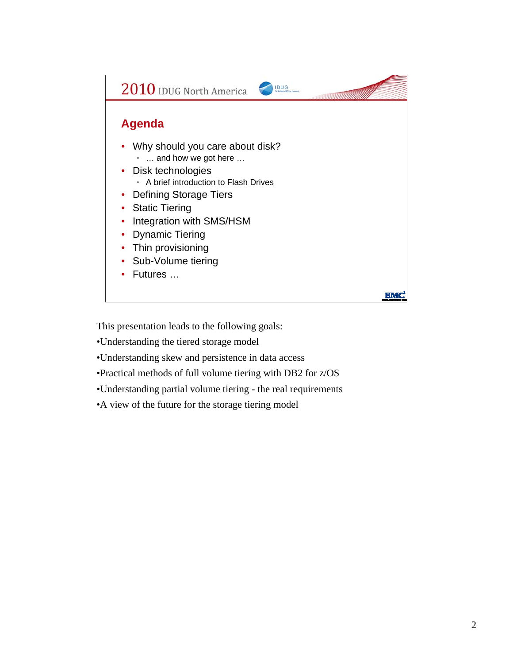

This presentation leads to the following goals:

•Understanding the tiered storage model

•Understanding skew and persistence in data access

•Practical methods of full volume tiering with DB2 for z/OS

•Understanding partial volume tiering - the real requirements

•A view of the future for the storage tiering model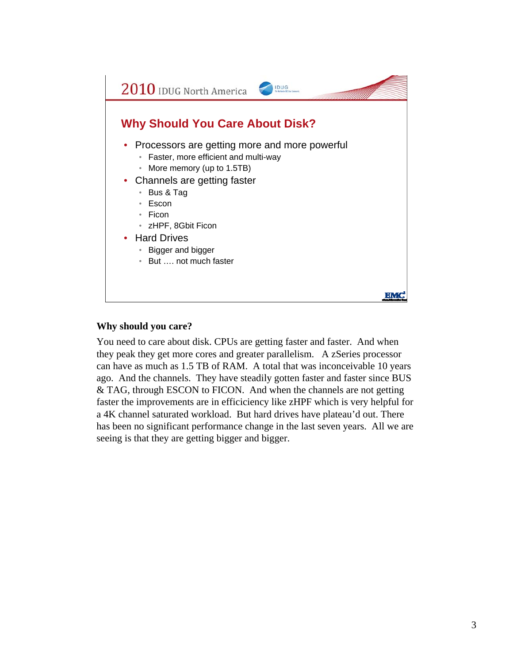

#### **Why should you care?**

You need to care about disk. CPUs are getting faster and faster. And when they peak they get more cores and greater parallelism. A zSeries processor can have as much as 1.5 TB of RAM. A total that was inconceivable 10 years ago. And the channels. They have steadily gotten faster and faster since BUS & TAG, through ESCON to FICON. And when the channels are not getting faster the improvements are in efficiciency like zHPF which is very helpful for a 4K channel saturated workload. But hard drives have plateau'd out. There has been no significant performance change in the last seven years. All we are seeing is that they are getting bigger and bigger.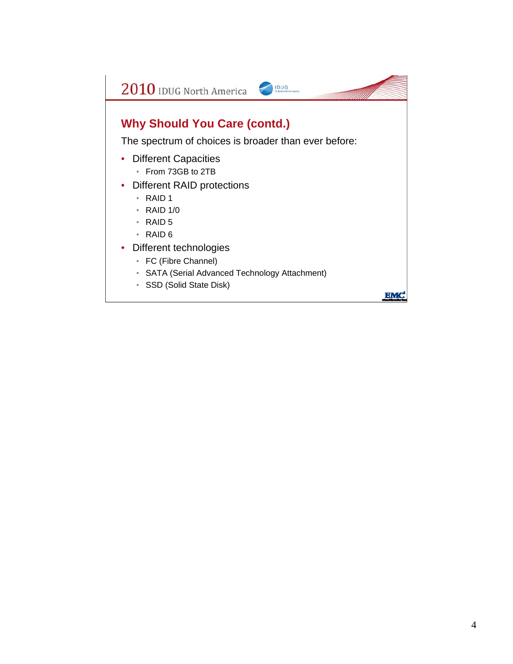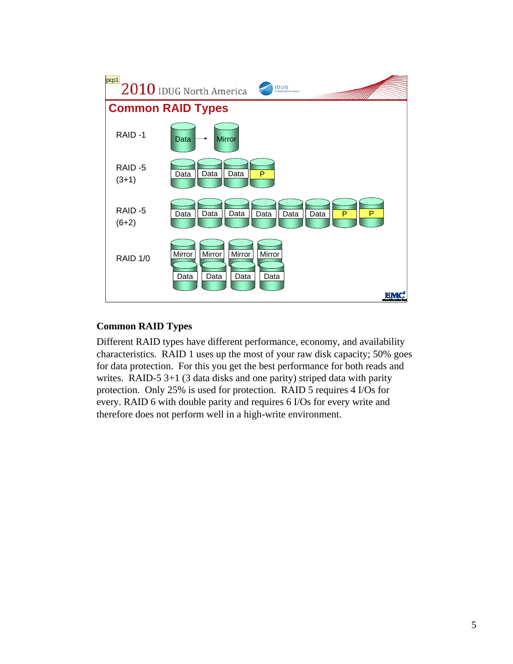

### **Common RAID Types**

Different RAID types have different performance, economy, and availability characteristics. RAID 1 uses up the most of your raw disk capacity; 50% goes for data protection. For this you get the best performance for both reads and writes. RAID-5 3+1 (3 data disks and one parity) striped data with parity protection. Only 25% is used for protection. RAID 5 requires 4 I/Os for every. RAID 6 with double parity and requires 6 I/Os for every write and therefore does not perform well in a high-write environment.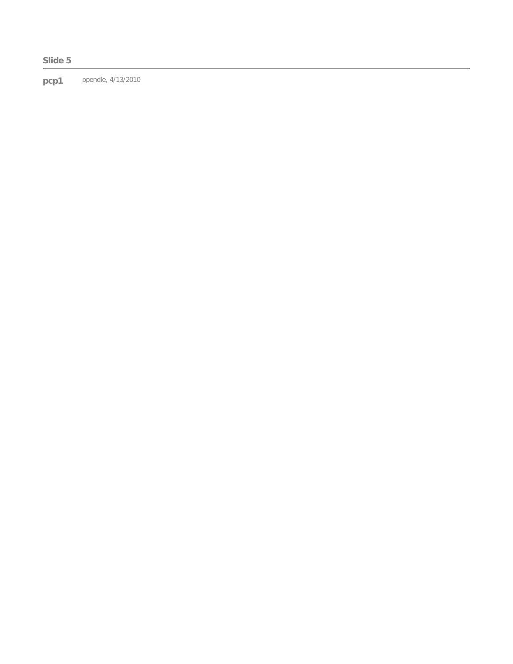#### **Slide 5**

**pcp1** ppendle, 4/13/2010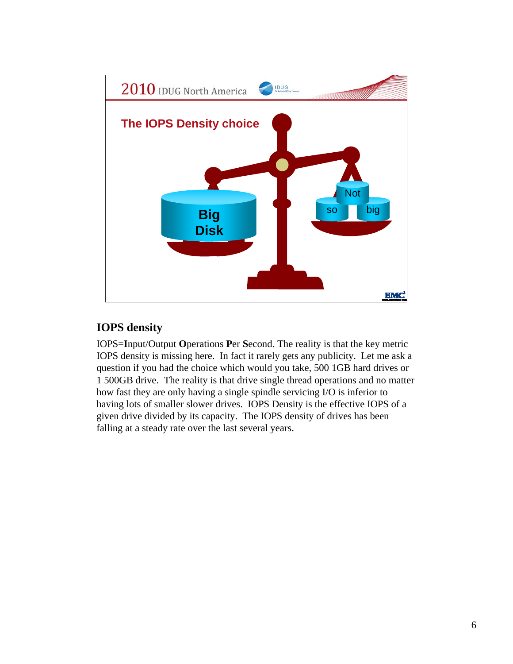

# **IOPS density**

IOPS=**I**nput/Output **O**perations **P**er **S**econd. The reality is that the key metric IOPS density is missing here. In fact it rarely gets any publicity. Let me ask a question if you had the choice which would you take, 500 1GB hard drives or 1 500GB drive. The reality is that drive single thread operations and no matter how fast they are only having a single spindle servicing I/O is inferior to having lots of smaller slower drives. IOPS Density is the effective IOPS of a given drive divided by its capacity. The IOPS density of drives has been falling at a steady rate over the last several years.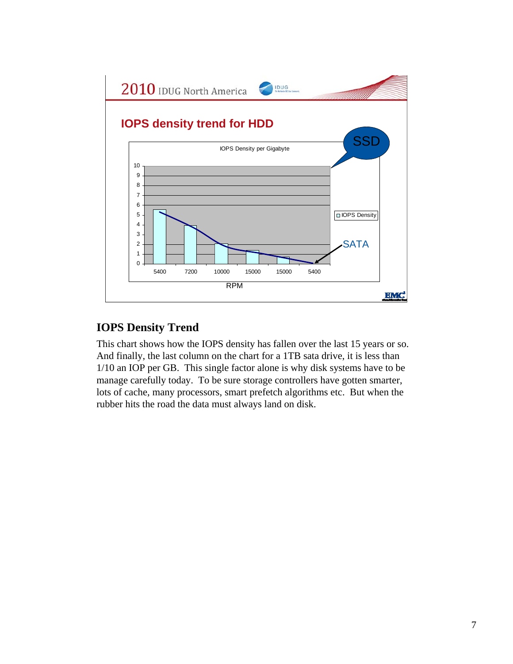

## **IOPS Density Trend**

This chart shows how the IOPS density has fallen over the last 15 years or so. And finally, the last column on the chart for a 1TB sata drive, it is less than 1/10 an IOP per GB. This single factor alone is why disk systems have to be manage carefully today. To be sure storage controllers have gotten smarter, lots of cache, many processors, smart prefetch algorithms etc. But when the rubber hits the road the data must always land on disk.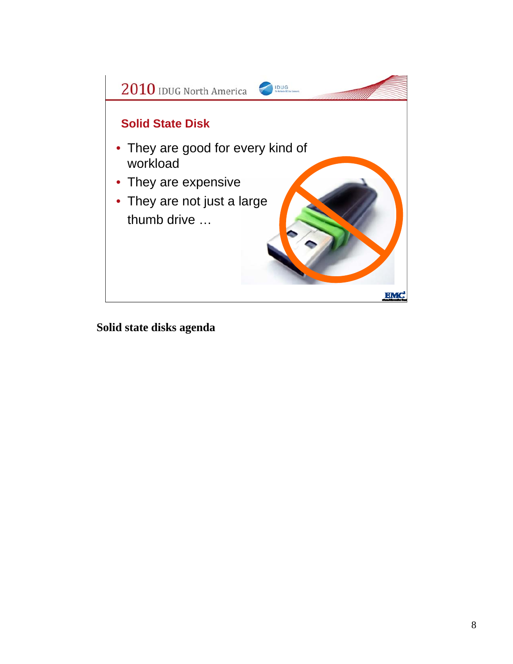

**Solid state disks agenda**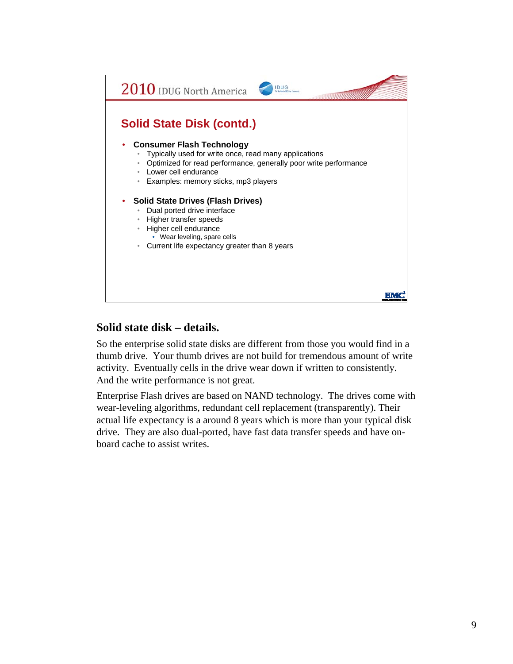

## **Solid state disk – details.**

So the enterprise solid state disks are different from those you would find in a thumb drive. Your thumb drives are not build for tremendous amount of write activity. Eventually cells in the drive wear down if written to consistently. And the write performance is not great.

Enterprise Flash drives are based on NAND technology. The drives come with wear-leveling algorithms, redundant cell replacement (transparently). Their actual life expectancy is a around 8 years which is more than your typical disk drive. They are also dual-ported, have fast data transfer speeds and have onboard cache to assist writes.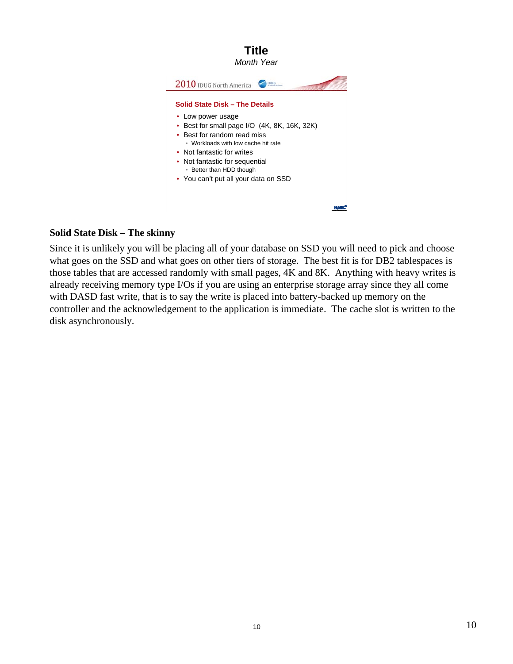

#### **Solid State Disk – The skinny**

Since it is unlikely you will be placing all of your database on SSD you will need to pick and choose what goes on the SSD and what goes on other tiers of storage. The best fit is for DB2 tablespaces is those tables that are accessed randomly with small pages, 4K and 8K. Anything with heavy writes is already receiving memory type I/Os if you are using an enterprise storage array since they all come with DASD fast write, that is to say the write is placed into battery-backed up memory on the controller and the acknowledgement to the application is immediate. The cache slot is written to the disk asynchronously.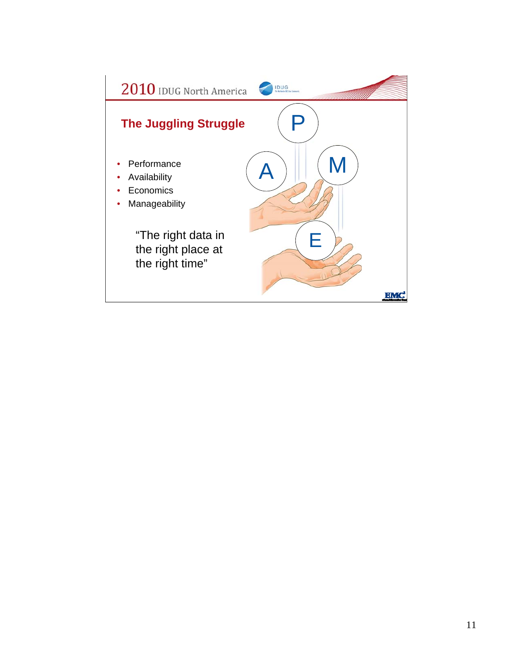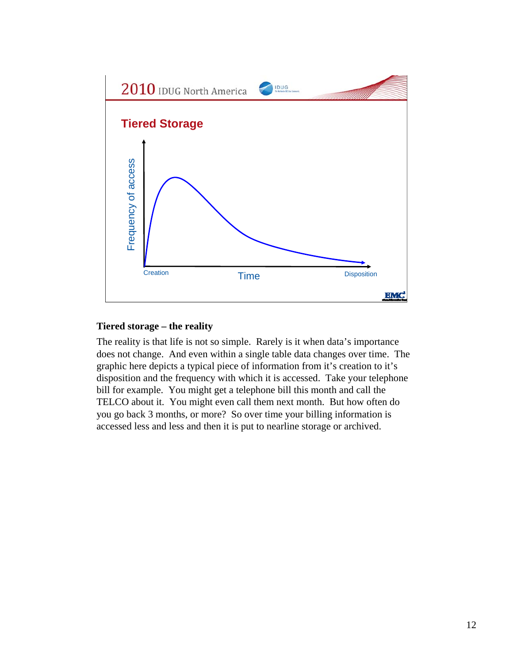

#### **Tiered storage – the reality**

The reality is that life is not so simple. Rarely is it when data's importance does not change. And even within a single table data changes over time. The graphic here depicts a typical piece of information from it's creation to it's disposition and the frequency with which it is accessed. Take your telephone bill for example. You might get a telephone bill this month and call the TELCO about it. You might even call them next month. But how often do you go back 3 months, or more? So over time your billing information is accessed less and less and then it is put to nearline storage or archived.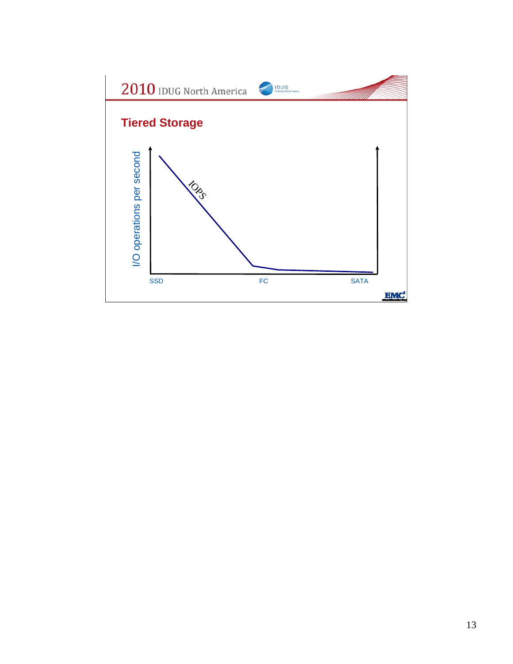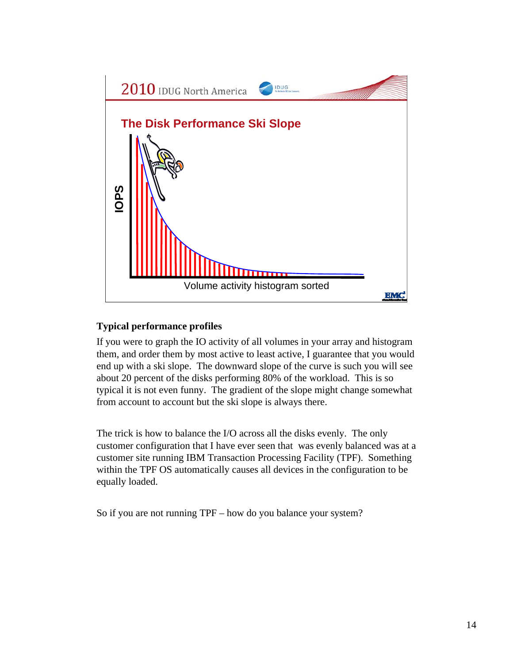

## **Typical performance profiles**

If you were to graph the IO activity of all volumes in your array and histogram them, and order them by most active to least active, I guarantee that you would end up with a ski slope. The downward slope of the curve is such you will see about 20 percent of the disks performing 80% of the workload. This is so typical it is not even funny. The gradient of the slope might change somewhat from account to account but the ski slope is always there.

The trick is how to balance the I/O across all the disks evenly. The only customer configuration that I have ever seen that was evenly balanced was at a customer site running IBM Transaction Processing Facility (TPF). Something within the TPF OS automatically causes all devices in the configuration to be equally loaded.

So if you are not running TPF – how do you balance your system?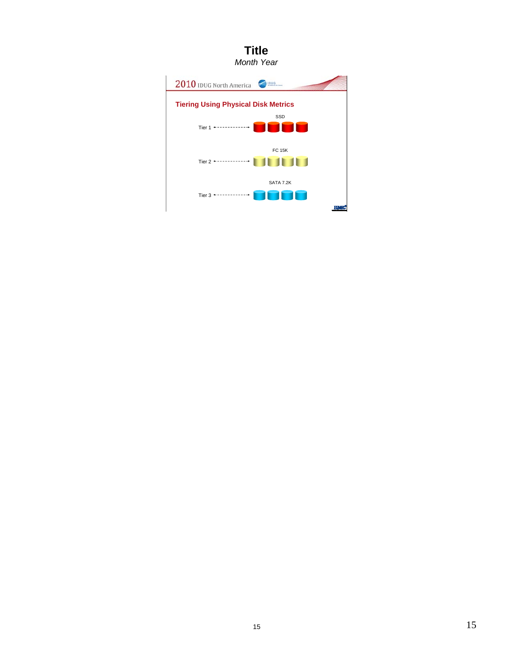# **Title**

*Month Year*

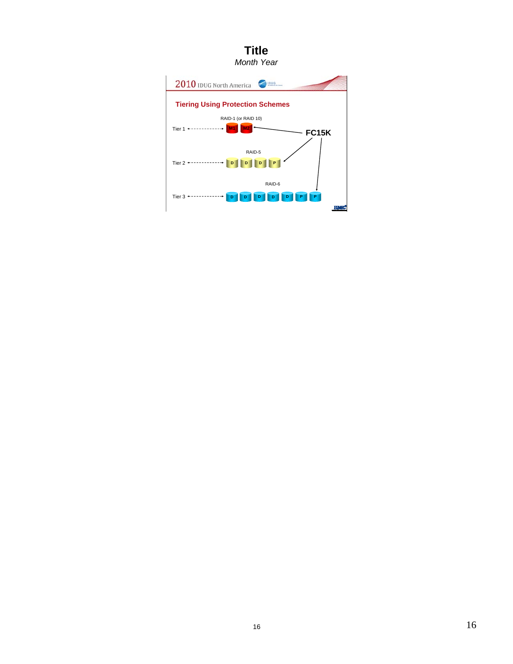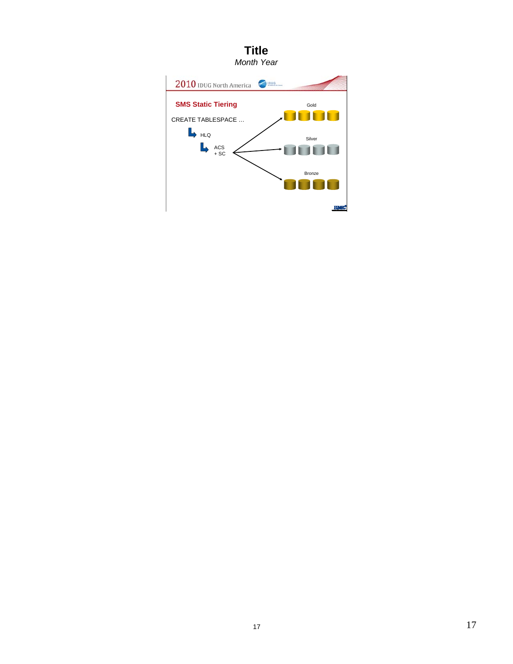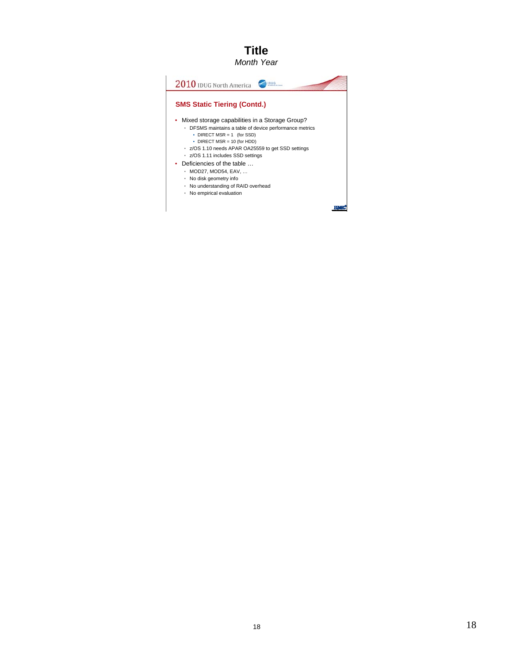#### **Title** *Month Year*

2010 IDUG North America **SMS Static Tiering (Contd.)** • Mixed storage capabilities in a Storage Group? • DFSMS maintains a table of device performance metrics • DIRECT MSR = 1 (for SSD) • DIRECT MSR = 10 (for HDD) • z/OS 1.10 needs APAR OA25559 to get SSD settings • z/OS 1.11 includes SSD settings • Deficiencies of the table … • MOD27, MOD54, EAV, … • No disk geometry info • No understanding of RAID overhead • No empirical evaluation**EQUAL**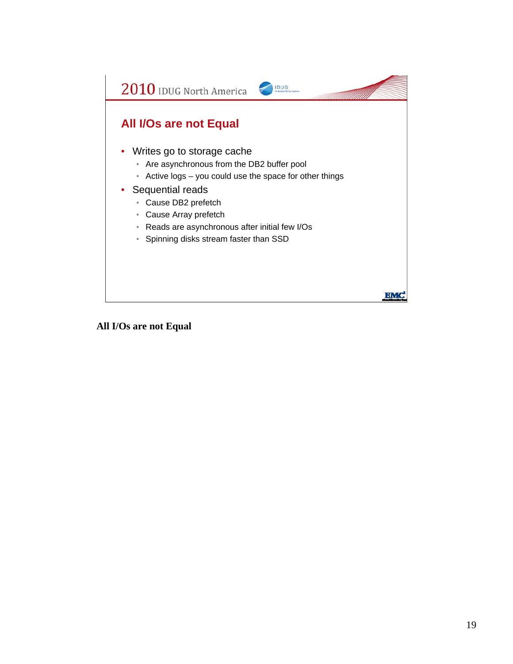

**All I/Os are not Equal**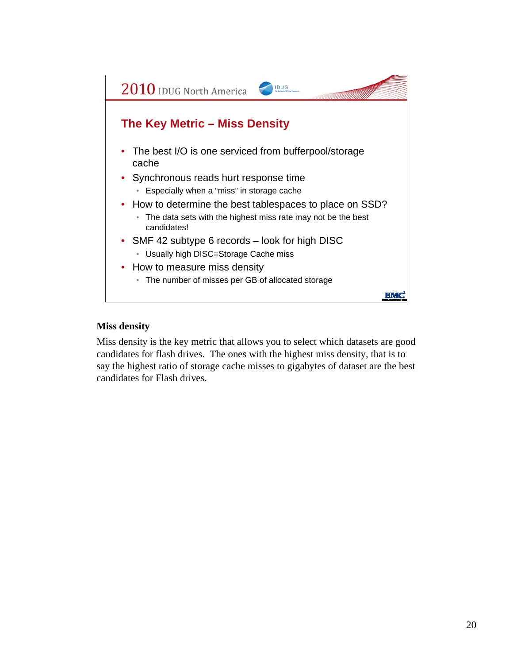

#### **Miss density**

Miss density is the key metric that allows you to select which datasets are good candidates for flash drives. The ones with the highest miss density, that is to say the highest ratio of storage cache misses to gigabytes of dataset are the best candidates for Flash drives.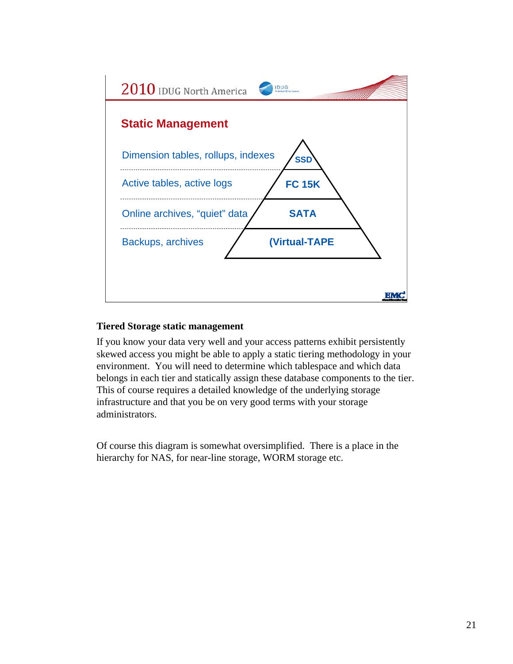

#### **Tiered Storage static management**

If you know your data very well and your access patterns exhibit persistently skewed access you might be able to apply a static tiering methodology in your environment. You will need to determine which tablespace and which data belongs in each tier and statically assign these database components to the tier. This of course requires a detailed knowledge of the underlying storage infrastructure and that you be on very good terms with your storage administrators.

Of course this diagram is somewhat oversimplified. There is a place in the hierarchy for NAS, for near-line storage, WORM storage etc.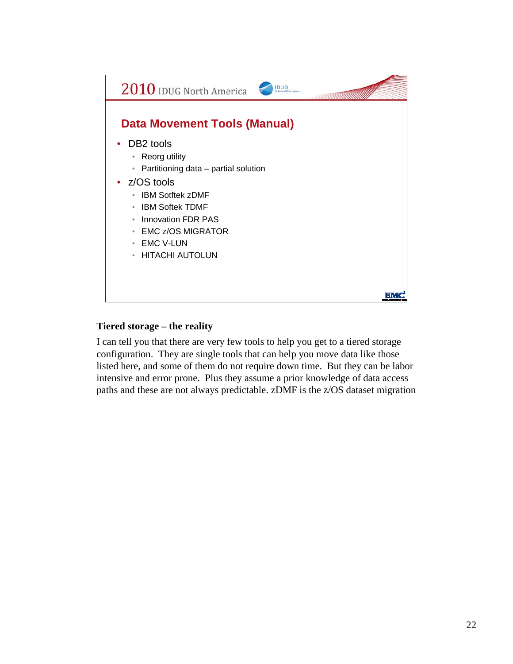

#### **Tiered storage – the reality**

I can tell you that there are very few tools to help you get to a tiered storage configuration. They are single tools that can help you move data like those listed here, and some of them do not require down time. But they can be labor intensive and error prone. Plus they assume a prior knowledge of data access paths and these are not always predictable. zDMF is the z/OS dataset migration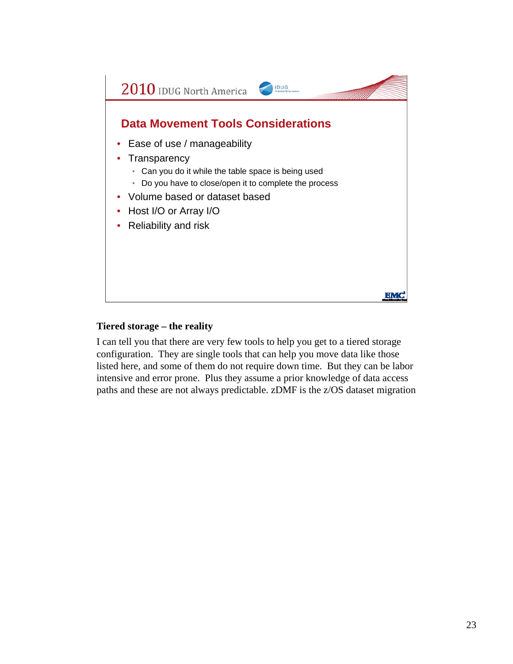

#### **Tiered storage – the reality**

I can tell you that there are very few tools to help you get to a tiered storage configuration. They are single tools that can help you move data like those listed here, and some of them do not require down time. But they can be labor intensive and error prone. Plus they assume a prior knowledge of data access paths and these are not always predictable. zDMF is the z/OS dataset migration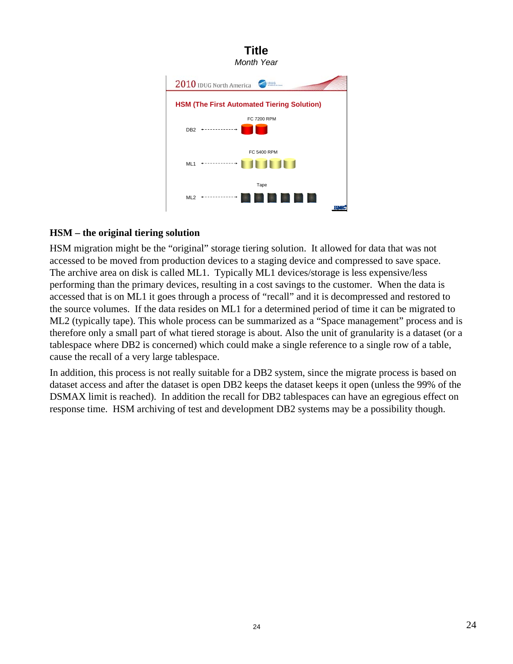

### **HSM – the original tiering solution**

HSM migration might be the "original" storage tiering solution. It allowed for data that was not accessed to be moved from production devices to a staging device and compressed to save space. The archive area on disk is called ML1. Typically ML1 devices/storage is less expensive/less performing than the primary devices, resulting in a cost savings to the customer. When the data is accessed that is on ML1 it goes through a process of "recall" and it is decompressed and restored to the source volumes. If the data resides on ML1 for a determined period of time it can be migrated to ML2 (typically tape). This whole process can be summarized as a "Space management" process and is therefore only a small part of what tiered storage is about. Also the unit of granularity is a dataset (or a tablespace where DB2 is concerned) which could make a single reference to a single row of a table, cause the recall of a very large tablespace.

In addition, this process is not really suitable for a DB2 system, since the migrate process is based on dataset access and after the dataset is open DB2 keeps the dataset keeps it open (unless the 99% of the DSMAX limit is reached). In addition the recall for DB2 tablespaces can have an egregious effect on response time. HSM archiving of test and development DB2 systems may be a possibility though.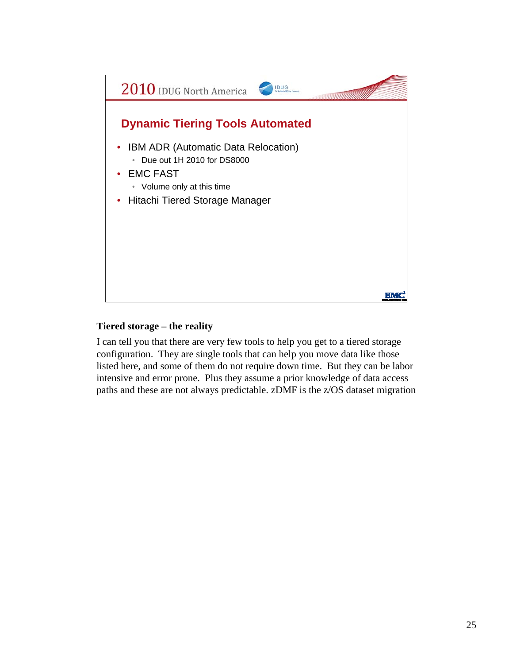

#### **Tiered storage – the reality**

I can tell you that there are very few tools to help you get to a tiered storage configuration. They are single tools that can help you move data like those listed here, and some of them do not require down time. But they can be labor intensive and error prone. Plus they assume a prior knowledge of data access paths and these are not always predictable. zDMF is the z/OS dataset migration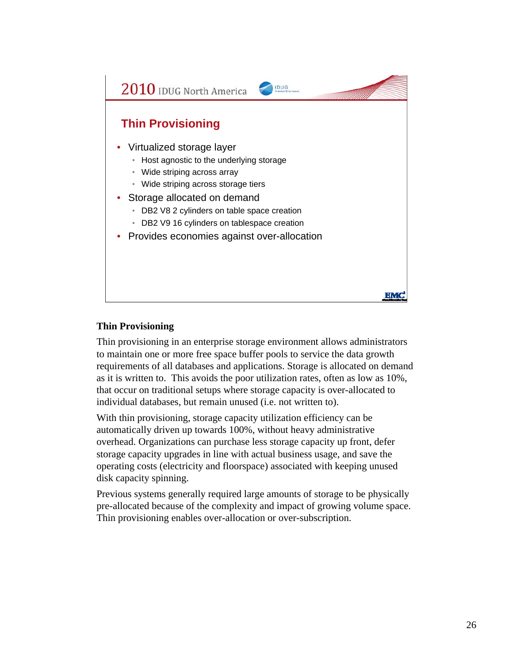

#### **Thin Provisioning**

Thin provisioning in an enterprise storage environment allows administrators to maintain one or more free space buffer pools to service the data growth requirements of all databases and applications. Storage is allocated on demand as it is written to. This avoids the poor utilization rates, often as low as 10%, that occur on traditional setups where storage capacity is over-allocated to individual databases, but remain unused (i.e. not written to).

With thin provisioning, storage capacity utilization efficiency can be automatically driven up towards 100%, without heavy administrative overhead. Organizations can purchase less storage capacity up front, defer storage capacity upgrades in line with actual business usage, and save the operating costs (electricity and floorspace) associated with keeping unused disk capacity spinning.

Previous systems generally required large amounts of storage to be physically pre-allocated because of the complexity and impact of growing volume space. Thin provisioning enables over-allocation or over-subscription.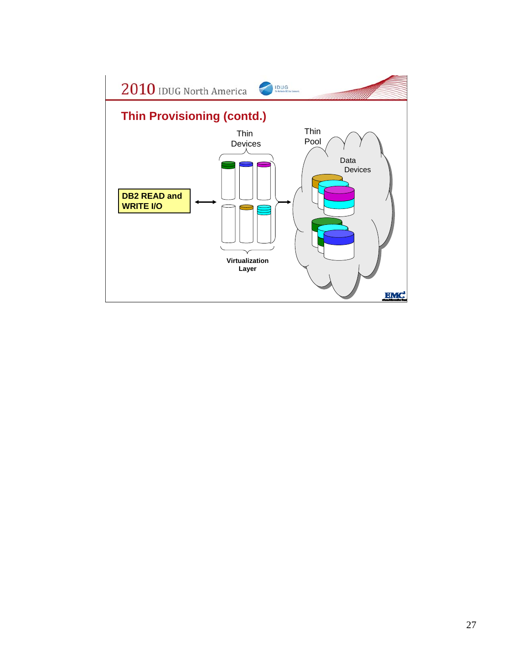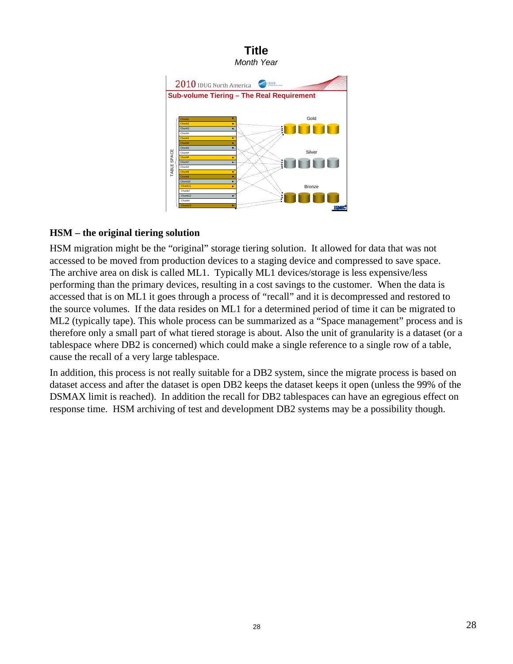

#### **HSM – the original tiering solution**

HSM migration might be the "original" storage tiering solution. It allowed for data that was not accessed to be moved from production devices to a staging device and compressed to save space. The archive area on disk is called ML1. Typically ML1 devices/storage is less expensive/less performing than the primary devices, resulting in a cost savings to the customer. When the data is accessed that is on ML1 it goes through a process of "recall" and it is decompressed and restored to the source volumes. If the data resides on ML1 for a determined period of time it can be migrated to ML2 (typically tape). This whole process can be summarized as a "Space management" process and is therefore only a small part of what tiered storage is about. Also the unit of granularity is a dataset (or a tablespace where DB2 is concerned) which could make a single reference to a single row of a table, cause the recall of a very large tablespace.

In addition, this process is not really suitable for a DB2 system, since the migrate process is based on dataset access and after the dataset is open DB2 keeps the dataset keeps it open (unless the 99% of the DSMAX limit is reached). In addition the recall for DB2 tablespaces can have an egregious effect on response time. HSM archiving of test and development DB2 systems may be a possibility though.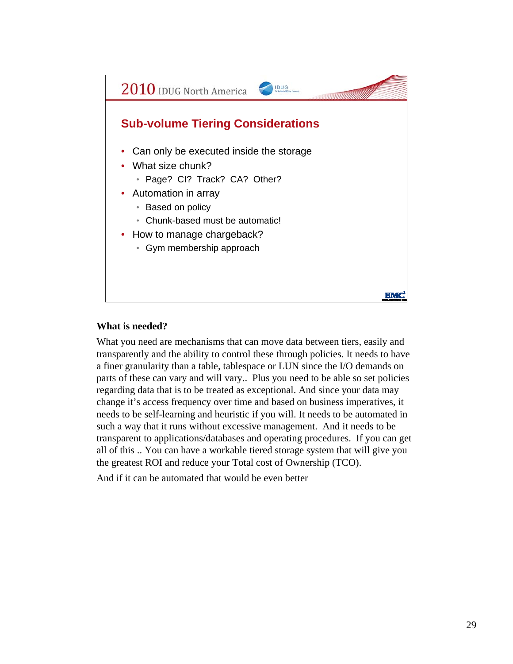

#### **What is needed?**

What you need are mechanisms that can move data between tiers, easily and transparently and the ability to control these through policies. It needs to have a finer granularity than a table, tablespace or LUN since the I/O demands on parts of these can vary and will vary.. Plus you need to be able so set policies regarding data that is to be treated as exceptional. And since your data may change it's access frequency over time and based on business imperatives, it needs to be self-learning and heuristic if you will. It needs to be automated in such a way that it runs without excessive management. And it needs to be transparent to applications/databases and operating procedures. If you can get all of this .. You can have a workable tiered storage system that will give you the greatest ROI and reduce your Total cost of Ownership (TCO).

And if it can be automated that would be even better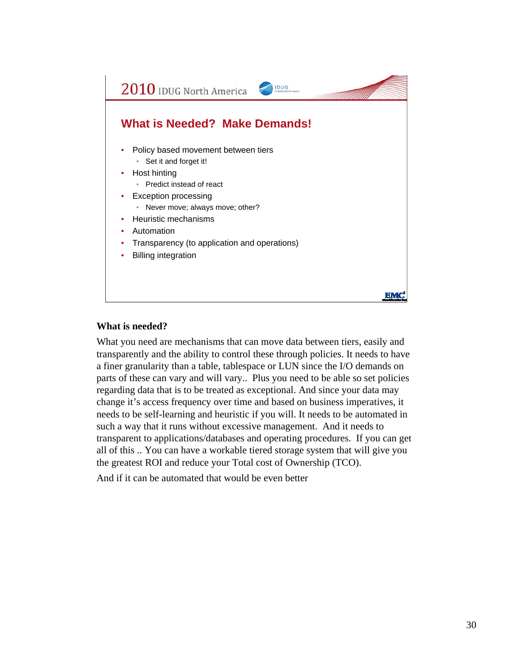

#### **What is needed?**

What you need are mechanisms that can move data between tiers, easily and transparently and the ability to control these through policies. It needs to have a finer granularity than a table, tablespace or LUN since the I/O demands on parts of these can vary and will vary.. Plus you need to be able so set policies regarding data that is to be treated as exceptional. And since your data may change it's access frequency over time and based on business imperatives, it needs to be self-learning and heuristic if you will. It needs to be automated in such a way that it runs without excessive management. And it needs to transparent to applications/databases and operating procedures. If you can get all of this .. You can have a workable tiered storage system that will give you the greatest ROI and reduce your Total cost of Ownership (TCO).

And if it can be automated that would be even better